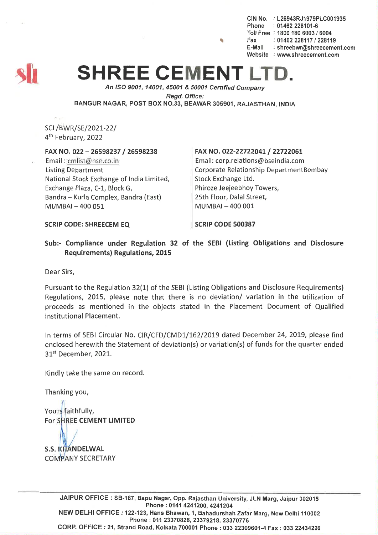CIN No. : L26943RJ1979PLC001935 Phone : 01462 228101-6 Toll Free : 1800 180 6003 *1 6004* , Fax: *01462228117/228119* E·Maii : shreebwr@shreecement.com Website : www.shreecement.com



# **SHREE CEMENT**

*An ISO 9001, 14001,45001* & *50001 Cenified Company Regd. Office:* BANGUR NAGAR, POST BOX NO.33, BEAWAR 305901, RAJASTHAN, INDIA

SCL/BWR/SE/2021-22/ 4th February, 2022

#### FAX NO. 022 - 26598237 *I <sup>26598238</sup>*

Email: cmlist@nse.co.in Listing Department National Stock Exchange of India Limited, Exchange Plaza, C-1, Block G, Bandra - Kurla Complex, Bandra (East) MUMBAI - 400 051

#### FAX NO. 022-22722041 / 22722061

Email: corp.relations@bseindia.com Corporate Relationship DepartmentBombay Stock Exchange Ltd. Phiroze Jeejeebhoy Towers, 25th Floor, Dalal Street, MUMBAI -400 001

SCRIP CODE: SHREECEM EQ

SCRIP CODE 500387

Sub:- Compliance under Regulation 32 of the SEBI (Listing Obligations and Disclosure Requirements) Regulations, 2015

Dear Sirs,

Pursuant to the Regulation 32(1) of the SEBI (Listing Obligations and Disclosure Requirements) Regulations, 2015, please note that there is no deviation/ variation in the utilization of proceeds as mentioned in the objects stated in the Placement Document of Qualified Institutional Placement.

In terms of SEBI Circular No. CIR/CFD/CMD1/162/2019 dated December 24, 2019, please find enclosed herewith the Statement of deviation(s) or variation(s) of funds for the quarter ended 31<sup>st</sup> December, 2021.

Kindly take the same on record.

Thanking you,

Yours faithfully, For SHREE CEMENT LIMITED

**S.S. KHANDELWAL COMPANY SECRETARY** 

> JAIPUR OFFICE: SB-187, Bapu Nagar, Opp. Rajasthan University, JLN Marg, Jaipur 302015 Phone: 0141 4241200, 4241204 NEW DELHI OFFICE: 122-123, Hans Bhawan, 1, Bahadurshah Zafar Marg, New Delhi 110002 Phone: 011 23370828, 23379218, 23370776 CORP. OFFICE: 21, Strand Road, Kolkata 700001 Phone: 033 22309601-4 Fax: 033 22434226